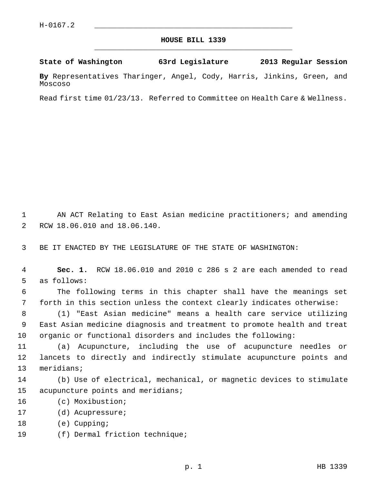## **HOUSE BILL 1339** \_\_\_\_\_\_\_\_\_\_\_\_\_\_\_\_\_\_\_\_\_\_\_\_\_\_\_\_\_\_\_\_\_\_\_\_\_\_\_\_\_\_\_\_\_

**State of Washington 63rd Legislature 2013 Regular Session**

**By** Representatives Tharinger, Angel, Cody, Harris, Jinkins, Green, and Moscoso

Read first time 01/23/13. Referred to Committee on Health Care & Wellness.

 1 AN ACT Relating to East Asian medicine practitioners; and amending 2 RCW 18.06.010 and 18.06.140.

3 BE IT ENACTED BY THE LEGISLATURE OF THE STATE OF WASHINGTON:

 4 **Sec. 1.** RCW 18.06.010 and 2010 c 286 s 2 are each amended to read 5 as follows:

 6 The following terms in this chapter shall have the meanings set 7 forth in this section unless the context clearly indicates otherwise:

 8 (1) "East Asian medicine" means a health care service utilizing 9 East Asian medicine diagnosis and treatment to promote health and treat 10 organic or functional disorders and includes the following:

11 (a) Acupuncture, including the use of acupuncture needles or 12 lancets to directly and indirectly stimulate acupuncture points and 13 meridians;

14 (b) Use of electrical, mechanical, or magnetic devices to stimulate 15 acupuncture points and meridians;

- 16 (c) Moxibustion;
- 17 (d) Acupressure;
- 18 (e) Cupping;
- 19 (f) Dermal friction technique;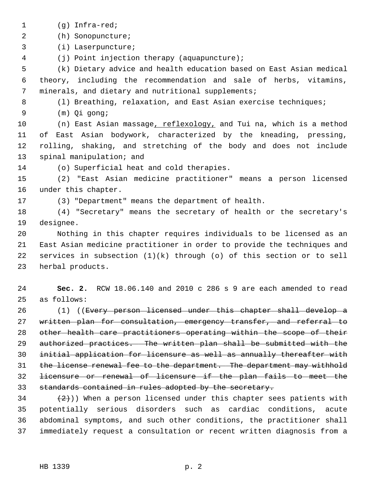- 1 (g) Infra-red;
- 2 (h) Sonopuncture;

3 (i) Laserpuncture;

4 (j) Point injection therapy (aquapuncture);

 5 (k) Dietary advice and health education based on East Asian medical 6 theory, including the recommendation and sale of herbs, vitamins, 7 minerals, and dietary and nutritional supplements;

8 (1) Breathing, relaxation, and East Asian exercise techniques;

9 (m) Qi gong;

10 (n) East Asian massage, reflexology, and Tui na, which is a method 11 of East Asian bodywork, characterized by the kneading, pressing, 12 rolling, shaking, and stretching of the body and does not include 13 spinal manipulation; and

14 (o) Superficial heat and cold therapies.

15 (2) "East Asian medicine practitioner" means a person licensed 16 under this chapter.

17 (3) "Department" means the department of health.

18 (4) "Secretary" means the secretary of health or the secretary's 19 designee.

20 Nothing in this chapter requires individuals to be licensed as an 21 East Asian medicine practitioner in order to provide the techniques and 22 services in subsection  $(1)(k)$  through  $(0)$  of this section or to sell 23 herbal products.

24 **Sec. 2.** RCW 18.06.140 and 2010 c 286 s 9 are each amended to read 25 as follows:

26 (1) ((Every person licensed under this chapter shall develop a 27 written plan for consultation, emergency transfer, and referral to other health care practitioners operating within the scope of their authorized practices. The written plan shall be submitted with the initial application for licensure as well as annually thereafter with 31 the license renewal fee to the department. The department may withhold licensure or renewal of licensure if the plan fails to meet the standards contained in rules adopted by the secretary.

 $(2)$ )) When a person licensed under this chapter sees patients with 35 potentially serious disorders such as cardiac conditions, acute 36 abdominal symptoms, and such other conditions, the practitioner shall 37 immediately request a consultation or recent written diagnosis from a